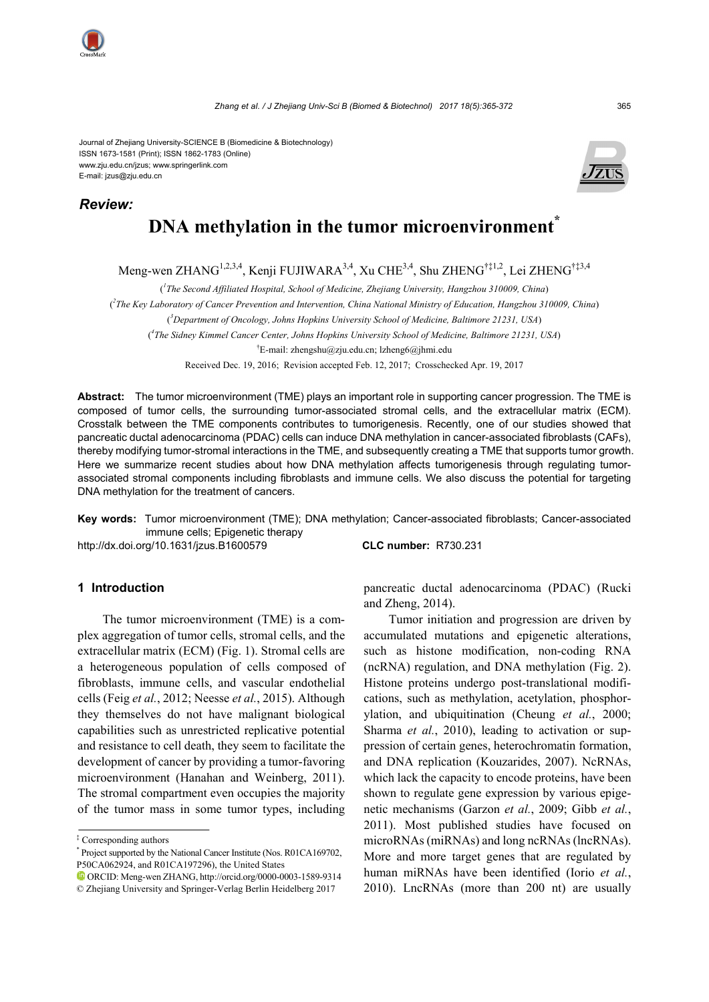

Journal of Zhejiang University-SCIENCE B (Biomedicine & Biotechnology) ISSN 1673-1581 (Print); ISSN 1862-1783 (Online) www.zju.edu.cn/jzus; www.springerlink.com E-mail: jzus@zju.edu.cn

*Review:*



# **DNA methylation in the tumor microenvironment\***

Meng-wen ZHANG<sup>1,2,3,4</sup>, Kenji FUJIWARA<sup>3,4</sup>, Xu CHE<sup>3,4</sup>, Shu ZHENG<sup>†‡1,2</sup>, Lei ZHENG<sup>†‡3,4</sup>

( *1 The Second Affiliated Hospital, School of Medicine, Zhejiang University, Hangzhou 310009, China*)

( *2 The Key Laboratory of Cancer Prevention and Intervention, China National Ministry of Education, Hangzhou 310009, China*)

( *3 Department of Oncology, Johns Hopkins University School of Medicine, Baltimore 21231, USA*)

( *4 The Sidney Kimmel Cancer Center, Johns Hopkins University School of Medicine, Baltimore 21231, USA*)

† E-mail: zhengshu@zju.edu.cn; lzheng6@jhmi.edu

Received Dec. 19, 2016; Revision accepted Feb. 12, 2017; Crosschecked Apr. 19, 2017

**Abstract:** The tumor microenvironment (TME) plays an important role in supporting cancer progression. The TME is composed of tumor cells, the surrounding tumor-associated stromal cells, and the extracellular matrix (ECM). Crosstalk between the TME components contributes to tumorigenesis. Recently, one of our studies showed that pancreatic ductal adenocarcinoma (PDAC) cells can induce DNA methylation in cancer-associated fibroblasts (CAFs), thereby modifying tumor-stromal interactions in the TME, and subsequently creating a TME that supports tumor growth. Here we summarize recent studies about how DNA methylation affects tumorigenesis through regulating tumorassociated stromal components including fibroblasts and immune cells. We also discuss the potential for targeting DNA methylation for the treatment of cancers.

**Key words:** Tumor microenvironment (TME); DNA methylation; Cancer-associated fibroblasts; Cancer-associated immune cells; Epigenetic therapy

http://dx.doi.org/10.1631/jzus.B1600579 **CLC number:** R730.231

#### **1 Introduction**

The tumor microenvironment (TME) is a complex aggregation of tumor cells, stromal cells, and the extracellular matrix (ECM) (Fig. 1). Stromal cells are a heterogeneous population of cells composed of fibroblasts, immune cells, and vascular endothelial cells (Feig *et al.*, 2012; Neesse *et al.*, 2015). Although they themselves do not have malignant biological capabilities such as unrestricted replicative potential and resistance to cell death, they seem to facilitate the development of cancer by providing a tumor-favoring microenvironment (Hanahan and Weinberg, 2011). The stromal compartment even occupies the majority of the tumor mass in some tumor types, including

pancreatic ductal adenocarcinoma (PDAC) (Rucki and Zheng, 2014).

Tumor initiation and progression are driven by accumulated mutations and epigenetic alterations, such as histone modification, non-coding RNA (ncRNA) regulation, and DNA methylation (Fig. 2). Histone proteins undergo post-translational modifications, such as methylation, acetylation, phosphorylation, and ubiquitination (Cheung *et al.*, 2000; Sharma *et al.*, 2010), leading to activation or suppression of certain genes, heterochromatin formation, and DNA replication (Kouzarides, 2007). NcRNAs, which lack the capacity to encode proteins, have been shown to regulate gene expression by various epigenetic mechanisms (Garzon *et al.*, 2009; Gibb *et al.*, 2011). Most published studies have focused on microRNAs (miRNAs) and long ncRNAs (lncRNAs). More and more target genes that are regulated by human miRNAs have been identified (Iorio *et al.*, 2010). LncRNAs (more than 200 nt) are usually

<sup>‡</sup> Corresponding authors

<sup>\*</sup> Project supported by the National Cancer Institute (Nos. R01CA169702, P50CA062924, and R01CA197296), the United States

ORCID: Meng-wen ZHANG, http://orcid.org/0000-0003-1589-9314 © Zhejiang University and Springer-Verlag Berlin Heidelberg 2017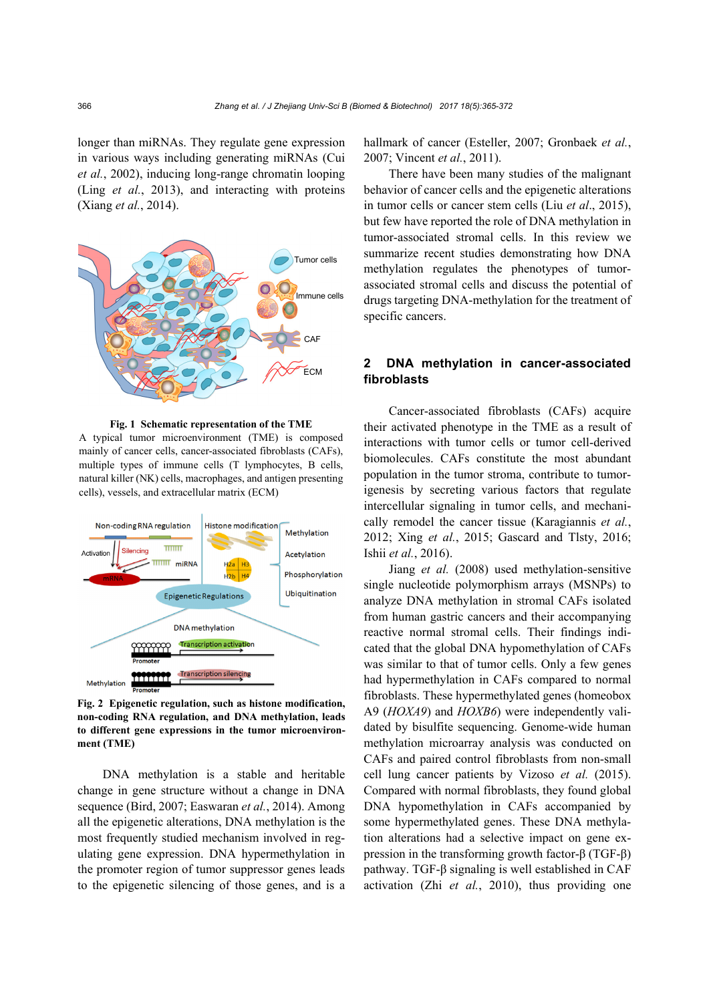longer than miRNAs. They regulate gene expression in various ways including generating miRNAs (Cui *et al.*, 2002), inducing long-range chromatin looping (Ling *et al.*, 2013), and interacting with proteins (Xiang *et al.*, 2014).



**Fig. 1 Schematic representation of the TME**

A typical tumor microenvironment (TME) is composed mainly of cancer cells, cancer-associated fibroblasts (CAFs), multiple types of immune cells (T lymphocytes, B cells, natural killer (NK) cells, macrophages, and antigen presenting cells), vessels, and extracellular matrix (ECM)



**Fig. 2 Epigenetic regulation, such as histone modification, non-coding RNA regulation, and DNA methylation, leads to different gene expressions in the tumor microenvironment (TME)**

DNA methylation is a stable and heritable change in gene structure without a change in DNA sequence (Bird, 2007; Easwaran *et al.*, 2014). Among all the epigenetic alterations, DNA methylation is the most frequently studied mechanism involved in regulating gene expression. DNA hypermethylation in the promoter region of tumor suppressor genes leads to the epigenetic silencing of those genes, and is a

hallmark of cancer (Esteller, 2007; Gronbaek *et al.*, 2007; Vincent *et al.*, 2011).

There have been many studies of the malignant behavior of cancer cells and the epigenetic alterations in tumor cells or cancer stem cells (Liu *et al*., 2015), but few have reported the role of DNA methylation in tumor-associated stromal cells. In this review we summarize recent studies demonstrating how DNA methylation regulates the phenotypes of tumorassociated stromal cells and discuss the potential of drugs targeting DNA-methylation for the treatment of specific cancers.

## **2 DNA methylation in cancer-associated fibroblasts**

Cancer-associated fibroblasts (CAFs) acquire their activated phenotype in the TME as a result of interactions with tumor cells or tumor cell-derived biomolecules. CAFs constitute the most abundant population in the tumor stroma, contribute to tumorigenesis by secreting various factors that regulate intercellular signaling in tumor cells, and mechanically remodel the cancer tissue (Karagiannis *et al.*, 2012; Xing *et al.*, 2015; Gascard and Tlsty, 2016; Ishii *et al.*, 2016).

Jiang *et al.* (2008) used methylation-sensitive single nucleotide polymorphism arrays (MSNPs) to analyze DNA methylation in stromal CAFs isolated from human gastric cancers and their accompanying reactive normal stromal cells. Their findings indicated that the global DNA hypomethylation of CAFs was similar to that of tumor cells. Only a few genes had hypermethylation in CAFs compared to normal fibroblasts. These hypermethylated genes (homeobox A9 (*HOXA9*) and *HOXB6*) were independently validated by bisulfite sequencing. Genome-wide human methylation microarray analysis was conducted on CAFs and paired control fibroblasts from non-small cell lung cancer patients by Vizoso *et al.* (2015). Compared with normal fibroblasts, they found global DNA hypomethylation in CAFs accompanied by some hypermethylated genes. These DNA methylation alterations had a selective impact on gene expression in the transforming growth factor-β (TGF-β) pathway. TGF-β signaling is well established in CAF activation (Zhi *et al.*, 2010), thus providing one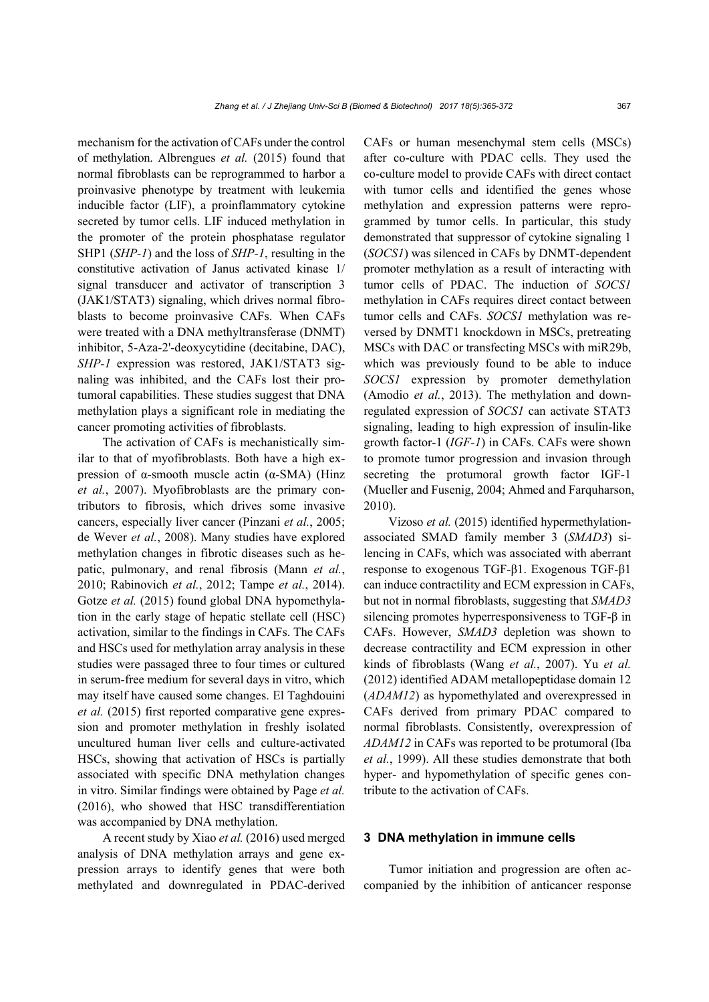mechanism for the activation of CAFs under the control of methylation. Albrengues *et al.* (2015) found that normal fibroblasts can be reprogrammed to harbor a proinvasive phenotype by treatment with leukemia inducible factor (LIF), a proinflammatory cytokine secreted by tumor cells. LIF induced methylation in the promoter of the protein phosphatase regulator SHP1 (*SHP-1*) and the loss of *SHP-1*, resulting in the constitutive activation of Janus activated kinase 1/ signal transducer and activator of transcription 3 (JAK1/STAT3) signaling, which drives normal fibroblasts to become proinvasive CAFs. When CAFs were treated with a DNA methyltransferase (DNMT) inhibitor, 5-Aza-2'-deoxycytidine (decitabine, DAC), *SHP-1* expression was restored, JAK1/STAT3 signaling was inhibited, and the CAFs lost their protumoral capabilities. These studies suggest that DNA methylation plays a significant role in mediating the cancer promoting activities of fibroblasts.

The activation of CAFs is mechanistically similar to that of myofibroblasts. Both have a high expression of α-smooth muscle actin (α-SMA) (Hinz *et al.*, 2007). Myofibroblasts are the primary contributors to fibrosis, which drives some invasive cancers, especially liver cancer (Pinzani *et al.*, 2005; de Wever *et al.*, 2008). Many studies have explored methylation changes in fibrotic diseases such as hepatic, pulmonary, and renal fibrosis (Mann *et al.*, 2010; Rabinovich *et al.*, 2012; Tampe *et al.*, 2014). Gotze *et al.* (2015) found global DNA hypomethylation in the early stage of hepatic stellate cell (HSC) activation, similar to the findings in CAFs. The CAFs and HSCs used for methylation array analysis in these studies were passaged three to four times or cultured in serum-free medium for several days in vitro, which may itself have caused some changes. El Taghdouini *et al.* (2015) first reported comparative gene expression and promoter methylation in freshly isolated uncultured human liver cells and culture-activated HSCs, showing that activation of HSCs is partially associated with specific DNA methylation changes in vitro. Similar findings were obtained by Page *et al.* (2016), who showed that HSC transdifferentiation was accompanied by DNA methylation.

A recent study by Xiao *et al.* (2016) used merged analysis of DNA methylation arrays and gene expression arrays to identify genes that were both methylated and downregulated in PDAC-derived CAFs or human mesenchymal stem cells (MSCs) after co-culture with PDAC cells. They used the co-culture model to provide CAFs with direct contact with tumor cells and identified the genes whose methylation and expression patterns were reprogrammed by tumor cells. In particular, this study demonstrated that suppressor of cytokine signaling 1 (*SOCS1*) was silenced in CAFs by DNMT-dependent promoter methylation as a result of interacting with tumor cells of PDAC. The induction of *SOCS1* methylation in CAFs requires direct contact between tumor cells and CAFs. *SOCS1* methylation was reversed by DNMT1 knockdown in MSCs, pretreating MSCs with DAC or transfecting MSCs with miR29b, which was previously found to be able to induce *SOCS1* expression by promoter demethylation (Amodio *et al.*, 2013). The methylation and downregulated expression of *SOCS1* can activate STAT3 signaling, leading to high expression of insulin-like growth factor-1 (*IGF-1*) in CAFs. CAFs were shown to promote tumor progression and invasion through secreting the protumoral growth factor IGF-1 (Mueller and Fusenig, 2004; Ahmed and Farquharson, 2010).

Vizoso *et al.* (2015) identified hypermethylationassociated SMAD family member 3 (*SMAD3*) silencing in CAFs, which was associated with aberrant response to exogenous TGF-β1. Exogenous TGF-β1 can induce contractility and ECM expression in CAFs, but not in normal fibroblasts, suggesting that *SMAD3* silencing promotes hyperresponsiveness to TGF-β in CAFs. However, *SMAD3* depletion was shown to decrease contractility and ECM expression in other kinds of fibroblasts (Wang *et al.*, 2007). Yu *et al.* (2012) identified ADAM metallopeptidase domain 12 (*ADAM12*) as hypomethylated and overexpressed in CAFs derived from primary PDAC compared to normal fibroblasts. Consistently, overexpression of *ADAM12* in CAFs was reported to be protumoral (Iba *et al.*, 1999). All these studies demonstrate that both hyper- and hypomethylation of specific genes contribute to the activation of CAFs.

#### **3 DNA methylation in immune cells**

Tumor initiation and progression are often accompanied by the inhibition of anticancer response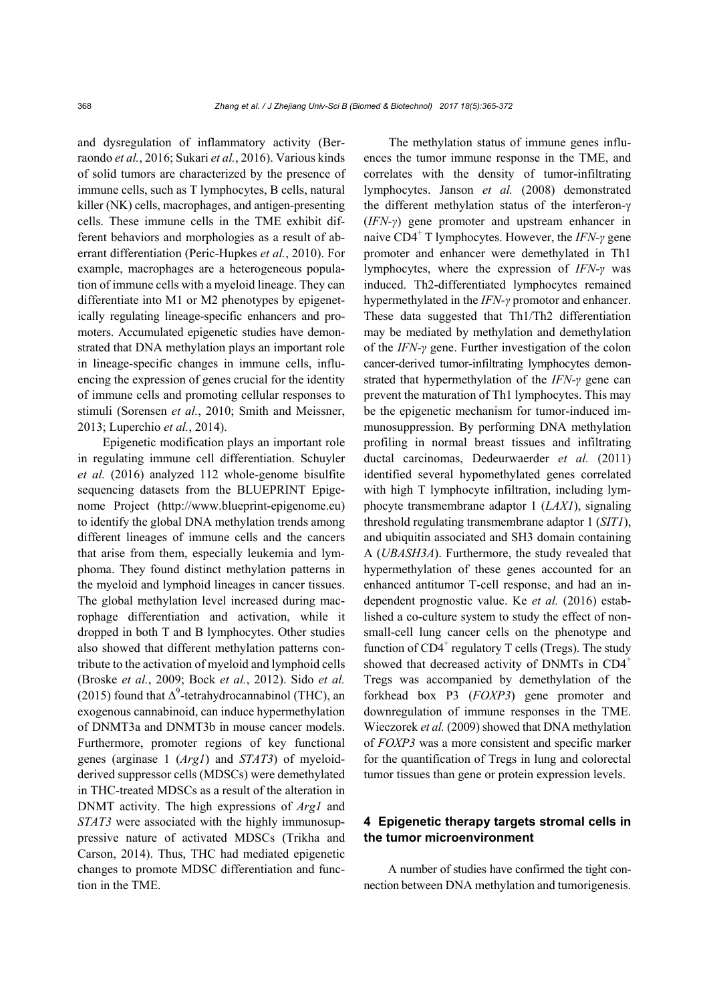and dysregulation of inflammatory activity (Berraondo *et al.*, 2016; Sukari *et al.*, 2016). Various kinds of solid tumors are characterized by the presence of immune cells, such as T lymphocytes, B cells, natural killer (NK) cells, macrophages, and antigen-presenting cells. These immune cells in the TME exhibit different behaviors and morphologies as a result of aberrant differentiation (Peric-Hupkes *et al.*, 2010). For example, macrophages are a heterogeneous population of immune cells with a myeloid lineage. They can differentiate into M1 or M2 phenotypes by epigenetically regulating lineage-specific enhancers and promoters. Accumulated epigenetic studies have demonstrated that DNA methylation plays an important role in lineage-specific changes in immune cells, influencing the expression of genes crucial for the identity of immune cells and promoting cellular responses to stimuli (Sorensen *et al.*, 2010; Smith and Meissner, 2013; Luperchio *et al.*, 2014).

Epigenetic modification plays an important role in regulating immune cell differentiation. Schuyler *et al.* (2016) analyzed 112 whole-genome bisulfite sequencing datasets from the BLUEPRINT Epigenome Project (http://www.blueprint-epigenome.eu) to identify the global DNA methylation trends among different lineages of immune cells and the cancers that arise from them, especially leukemia and lymphoma. They found distinct methylation patterns in the myeloid and lymphoid lineages in cancer tissues. The global methylation level increased during macrophage differentiation and activation, while it dropped in both T and B lymphocytes. Other studies also showed that different methylation patterns contribute to the activation of myeloid and lymphoid cells (Broske *et al.*, 2009; Bock *et al.*, 2012). Sido *et al.* (2015) found that  $\Delta^9$ -tetrahydrocannabinol (THC), an exogenous cannabinoid, can induce hypermethylation of DNMT3a and DNMT3b in mouse cancer models. Furthermore, promoter regions of key functional genes (arginase 1 (*Arg1*) and *STAT3*) of myeloidderived suppressor cells (MDSCs) were demethylated in THC-treated MDSCs as a result of the alteration in DNMT activity. The high expressions of *Arg1* and *STAT3* were associated with the highly immunosuppressive nature of activated MDSCs (Trikha and Carson, 2014). Thus, THC had mediated epigenetic changes to promote MDSC differentiation and function in the TME.

The methylation status of immune genes influences the tumor immune response in the TME, and correlates with the density of tumor-infiltrating lymphocytes. Janson *et al.* (2008) demonstrated the different methylation status of the interferon-γ (*IFN-γ*) gene promoter and upstream enhancer in naive CD4<sup>+</sup> T lymphocytes. However, the *IFN-γ* gene promoter and enhancer were demethylated in Th1 lymphocytes, where the expression of *IFN-γ* was induced. Th2-differentiated lymphocytes remained hypermethylated in the *IFN-γ* promotor and enhancer. These data suggested that Th1/Th2 differentiation may be mediated by methylation and demethylation of the *IFN-γ* gene. Further investigation of the colon cancer-derived tumor-infiltrating lymphocytes demonstrated that hypermethylation of the *IFN-γ* gene can prevent the maturation of Th1 lymphocytes. This may be the epigenetic mechanism for tumor-induced immunosuppression. By performing DNA methylation profiling in normal breast tissues and infiltrating ductal carcinomas, Dedeurwaerder et al. (2011) identified several hypomethylated genes correlated with high T lymphocyte infiltration, including lymphocyte transmembrane adaptor 1 (*LAX1*), signaling threshold regulating transmembrane adaptor 1 (*SIT1*), and ubiquitin associated and SH3 domain containing A (*UBASH3A*). Furthermore, the study revealed that hypermethylation of these genes accounted for an enhanced antitumor T-cell response, and had an independent prognostic value. Ke *et al.* (2016) established a co-culture system to study the effect of nonsmall-cell lung cancer cells on the phenotype and function of CD4<sup>+</sup> regulatory T cells (Tregs). The study showed that decreased activity of DNMTs in  $CD4^+$ Tregs was accompanied by demethylation of the forkhead box P3 (*FOXP3*) gene promoter and downregulation of immune responses in the TME. Wieczorek *et al.* (2009) showed that DNA methylation of *FOXP3* was a more consistent and specific marker for the quantification of Tregs in lung and colorectal tumor tissues than gene or protein expression levels.

### **4 Epigenetic therapy targets stromal cells in the tumor microenvironment**

A number of studies have confirmed the tight connection between DNA methylation and tumorigenesis.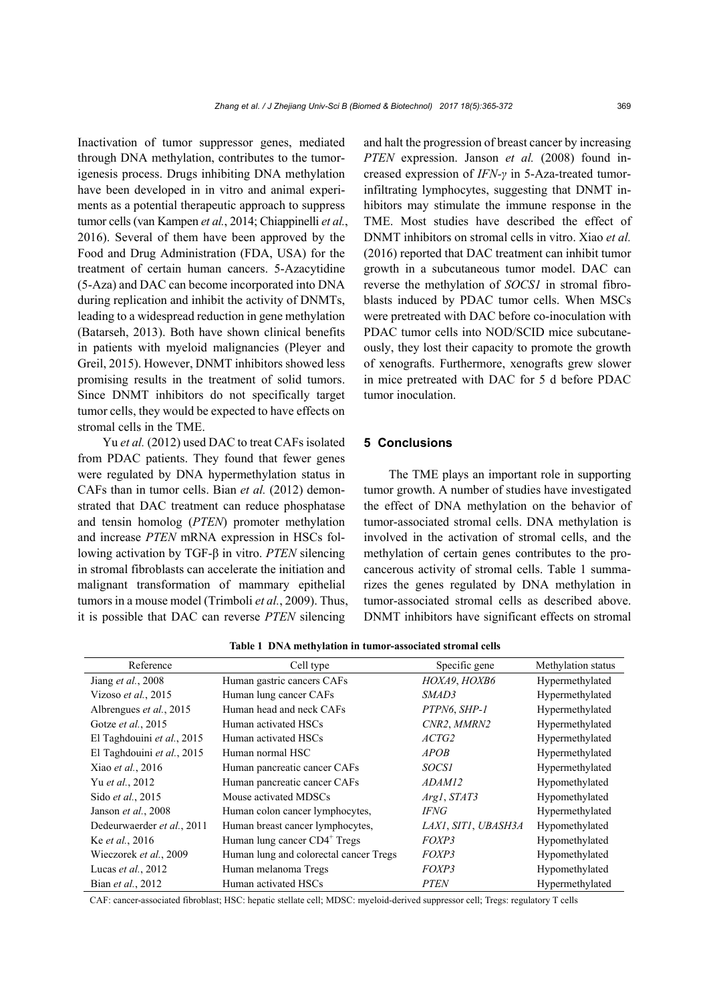Inactivation of tumor suppressor genes, mediated through DNA methylation, contributes to the tumorigenesis process. Drugs inhibiting DNA methylation have been developed in in vitro and animal experiments as a potential therapeutic approach to suppress tumor cells (van Kampen *et al.*, 2014; Chiappinelli *et al.*, 2016). Several of them have been approved by the Food and Drug Administration (FDA, USA) for the treatment of certain human cancers. 5-Azacytidine (5-Aza) and DAC can become incorporated into DNA during replication and inhibit the activity of DNMTs, leading to a widespread reduction in gene methylation (Batarseh, 2013). Both have shown clinical benefits in patients with myeloid malignancies (Pleyer and Greil, 2015). However, DNMT inhibitors showed less promising results in the treatment of solid tumors. Since DNMT inhibitors do not specifically target tumor cells, they would be expected to have effects on stromal cells in the TME.

Yu *et al.* (2012) used DAC to treat CAFs isolated from PDAC patients. They found that fewer genes were regulated by DNA hypermethylation status in CAFs than in tumor cells. Bian *et al.* (2012) demonstrated that DAC treatment can reduce phosphatase and tensin homolog (*PTEN*) promoter methylation and increase *PTEN* mRNA expression in HSCs following activation by TGF-β in vitro. *PTEN* silencing in stromal fibroblasts can accelerate the initiation and malignant transformation of mammary epithelial tumors in a mouse model (Trimboli *et al.*, 2009). Thus, it is possible that DAC can reverse *PTEN* silencing

and halt the progression of breast cancer by increasing *PTEN* expression. Janson *et al.* (2008) found increased expression of *IFN-γ* in 5-Aza-treated tumorinfiltrating lymphocytes, suggesting that DNMT inhibitors may stimulate the immune response in the TME. Most studies have described the effect of DNMT inhibitors on stromal cells in vitro. Xiao *et al.* (2016) reported that DAC treatment can inhibit tumor growth in a subcutaneous tumor model. DAC can reverse the methylation of *SOCS1* in stromal fibroblasts induced by PDAC tumor cells. When MSCs were pretreated with DAC before co-inoculation with PDAC tumor cells into NOD/SCID mice subcutaneously, they lost their capacity to promote the growth of xenografts. Furthermore, xenografts grew slower in mice pretreated with DAC for 5 d before PDAC tumor inoculation.

#### **5 Conclusions**

The TME plays an important role in supporting tumor growth. A number of studies have investigated the effect of DNA methylation on the behavior of tumor-associated stromal cells. DNA methylation is involved in the activation of stromal cells, and the methylation of certain genes contributes to the procancerous activity of stromal cells. Table 1 summarizes the genes regulated by DNA methylation in tumor-associated stromal cells as described above. DNMT inhibitors have significant effects on stromal

| Reference                  | Cell type                                | Specific gene       | Methylation status |
|----------------------------|------------------------------------------|---------------------|--------------------|
| Jiang <i>et al.</i> , 2008 | Human gastric cancers CAFs               | НОХА9, НОХВ6        | Hypermethylated    |
| Vizoso et al., 2015        | Human lung cancer CAFs                   | SMAD3               | Hypermethylated    |
| Albrengues et al., 2015    | Human head and neck CAFs                 | PTPN6, SHP-1        | Hypermethylated    |
| Gotze et al., 2015         | Human activated HSCs                     | CNR2, MMRN2         | Hypermethylated    |
| El Taghdouini et al., 2015 | Human activated HSCs                     | <i>ACTG2</i>        | Hypermethylated    |
| El Taghdouini et al., 2015 | Human normal HSC                         | <i>APOB</i>         | Hypermethylated    |
| Xiao et al., 2016          | Human pancreatic cancer CAFs             | <i>SOCSI</i>        | Hypermethylated    |
| Yu et al., 2012            | Human pancreatic cancer CAFs             | ADAM12              | Hypomethylated     |
| Sido et al., 2015          | Mouse activated MDSCs                    | Argl, STAT3         | Hypomethylated     |
| Janson et al., 2008        | Human colon cancer lymphocytes,          | IFNG                | Hypermethylated    |
| Dedeurwaerder et al., 2011 | Human breast cancer lymphocytes,         | LAX1, SIT1, UBASH3A | Hypomethylated     |
| Ke et al., 2016            | Human lung cancer CD4 <sup>+</sup> Tregs | <i>FOXP3</i>        | Hypomethylated     |
| Wieczorek et al., 2009     | Human lung and colorectal cancer Tregs   | FOXP3               | Hypomethylated     |
| Lucas et al., 2012         | Human melanoma Tregs                     | FOXP3               | Hypomethylated     |
| Bian et al., 2012          | Human activated HSCs                     | <b>PTEN</b>         | Hypermethylated    |

**Table 1 DNA methylation in tumor-associated stromal cells**

CAF: cancer-associated fibroblast; HSC: hepatic stellate cell; MDSC: myeloid-derived suppressor cell; Tregs: regulatory T cells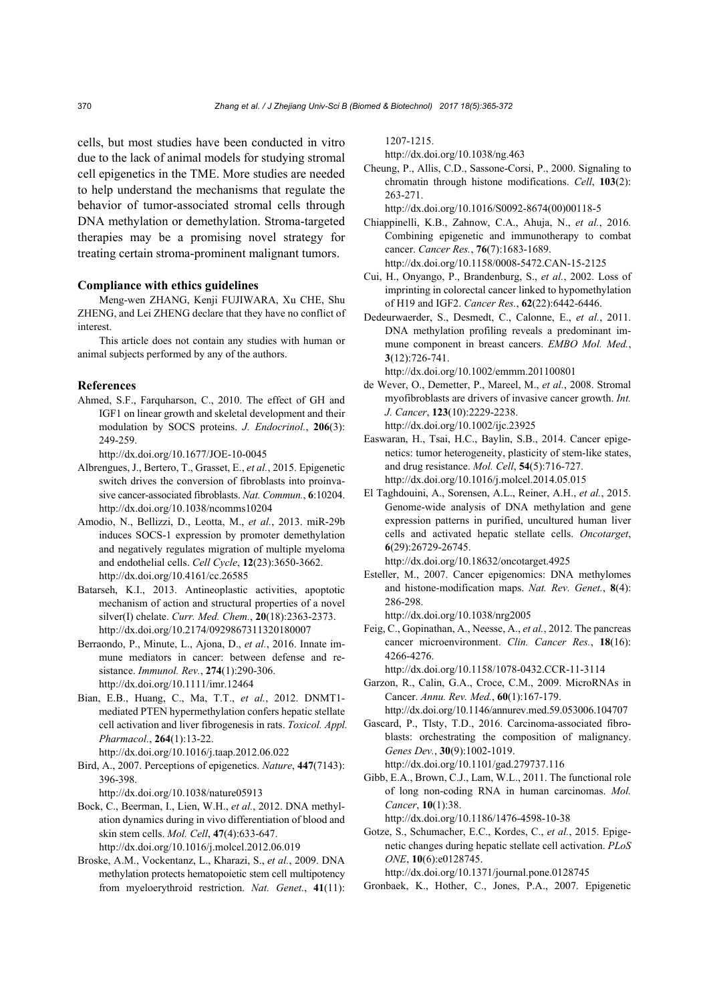cells, but most studies have been conducted in vitro due to the lack of animal models for studying stromal cell epigenetics in the TME. More studies are needed to help understand the mechanisms that regulate the behavior of tumor-associated stromal cells through DNA methylation or demethylation. Stroma-targeted therapies may be a promising novel strategy for treating certain stroma-prominent malignant tumors.

#### **Compliance with ethics guidelines**

Meng-wen ZHANG, Kenji FUJIWARA, Xu CHE, Shu ZHENG, and Lei ZHENG declare that they have no conflict of interest.

This article does not contain any studies with human or animal subjects performed by any of the authors.

#### **References**

Ahmed, S.F., Farquharson, C., 2010. The effect of GH and IGF1 on linear growth and skeletal development and their modulation by SOCS proteins. *J. Endocrinol.*, **206**(3): 249-259.

http://dx.doi.org/10.1677/JOE-10-0045

- Albrengues, J., Bertero, T., Grasset, E., *et al.*, 2015. Epigenetic switch drives the conversion of fibroblasts into proinvasive cancer-associated fibroblasts. *Nat. Commun.*, **6**:10204. http://dx.doi.org/10.1038/ncomms10204
- Amodio, N., Bellizzi, D., Leotta, M., *et al.*, 2013. miR-29b induces SOCS-1 expression by promoter demethylation and negatively regulates migration of multiple myeloma and endothelial cells. *Cell Cycle*, **12**(23):3650-3662. http://dx.doi.org/10.4161/cc.26585
- Batarseh, K.I., 2013. Antineoplastic activities, apoptotic mechanism of action and structural properties of a novel silver(I) chelate. *Curr. Med. Chem.*, **20**(18):2363-2373. http://dx.doi.org/10.2174/0929867311320180007
- Berraondo, P., Minute, L., Ajona, D., *et al.*, 2016. Innate immune mediators in cancer: between defense and resistance. *Immunol. Rev.*, **274**(1):290-306. http://dx.doi.org/10.1111/imr.12464
- Bian, E.B., Huang, C., Ma, T.T., *et al.*, 2012. DNMT1 mediated PTEN hypermethylation confers hepatic stellate cell activation and liver fibrogenesis in rats. *Toxicol. Appl. Pharmacol.*, **264**(1):13-22. http://dx.doi.org/10.1016/j.taap.2012.06.022
- Bird, A., 2007. Perceptions of epigenetics. *Nature*, **447**(7143): 396-398.

http://dx.doi.org/10.1038/nature05913

- Bock, C., Beerman, I., Lien, W.H., *et al.*, 2012. DNA methylation dynamics during in vivo differentiation of blood and skin stem cells. *Mol. Cell*, **47**(4):633-647. http://dx.doi.org/10.1016/j.molcel.2012.06.019
- Broske, A.M., Vockentanz, L., Kharazi, S., *et al.*, 2009. DNA methylation protects hematopoietic stem cell multipotency from myeloerythroid restriction. *Nat. Genet.*, **41**(11):

1207-1215.

http://dx.doi.org/10.1038/ng.463

Cheung, P., Allis, C.D., Sassone-Corsi, P., 2000. Signaling to chromatin through histone modifications. *Cell*, **103**(2): 263-271.

http://dx.doi.org/10.1016/S0092-8674(00)00118-5

- Chiappinelli, K.B., Zahnow, C.A., Ahuja, N., *et al.*, 2016. Combining epigenetic and immunotherapy to combat cancer. *Cancer Res.*, **76**(7):1683-1689. http://dx.doi.org/10.1158/0008-5472.CAN-15-2125
- Cui, H., Onyango, P., Brandenburg, S., *et al.*, 2002. Loss of imprinting in colorectal cancer linked to hypomethylation of H19 and IGF2. *Cancer Res.*, **62**(22):6442-6446.
- Dedeurwaerder, S., Desmedt, C., Calonne, E., *et al.*, 2011. DNA methylation profiling reveals a predominant immune component in breast cancers. *EMBO Mol. Med.*, **3**(12):726-741. http://dx.doi.org/10.1002/emmm.201100801
- de Wever, O., Demetter, P., Mareel, M., *et al.*, 2008. Stromal myofibroblasts are drivers of invasive cancer growth. *Int. J. Cancer*, **123**(10):2229-2238. http://dx.doi.org/10.1002/ijc.23925
- Easwaran, H., Tsai, H.C., Baylin, S.B., 2014. Cancer epigenetics: tumor heterogeneity, plasticity of stem-like states, and drug resistance. *Mol. Cell*, **54**(5):716-727. http://dx.doi.org/10.1016/j.molcel.2014.05.015
- El Taghdouini, A., Sorensen, A.L., Reiner, A.H., *et al.*, 2015. Genome-wide analysis of DNA methylation and gene expression patterns in purified, uncultured human liver cells and activated hepatic stellate cells. *Oncotarget*, **6**(29):26729-26745. http://dx.doi.org/10.18632/oncotarget.4925
- Esteller, M., 2007. Cancer epigenomics: DNA methylomes and histone-modification maps. *Nat. Rev. Genet.*, **8**(4): 286-298.

http://dx.doi.org/10.1038/nrg2005

Feig, C., Gopinathan, A., Neesse, A., *et al.*, 2012. The pancreas cancer microenvironment. *Clin. Cancer Res.*, **18**(16): 4266-4276.

http://dx.doi.org/10.1158/1078-0432.CCR-11-3114

- Garzon, R., Calin, G.A., Croce, C.M., 2009. MicroRNAs in Cancer. *Annu. Rev. Med.*, **60**(1):167-179.
- http://dx.doi.org/10.1146/annurev.med.59.053006.104707 Gascard, P., Tlsty, T.D., 2016. Carcinoma-associated fibroblasts: orchestrating the composition of malignancy. *Genes Dev.*, **30**(9):1002-1019.

http://dx.doi.org/10.1101/gad.279737.116

Gibb, E.A., Brown, C.J., Lam, W.L., 2011. The functional role of long non-coding RNA in human carcinomas. *Mol. Cancer*, **10**(1):38.

http://dx.doi.org/10.1186/1476-4598-10-38

Gotze, S., Schumacher, E.C., Kordes, C., *et al.*, 2015. Epigenetic changes during hepatic stellate cell activation. *PLoS ONE*, **10**(6):e0128745.

http://dx.doi.org/10.1371/journal.pone.0128745

Gronbaek, K., Hother, C., Jones, P.A., 2007. Epigenetic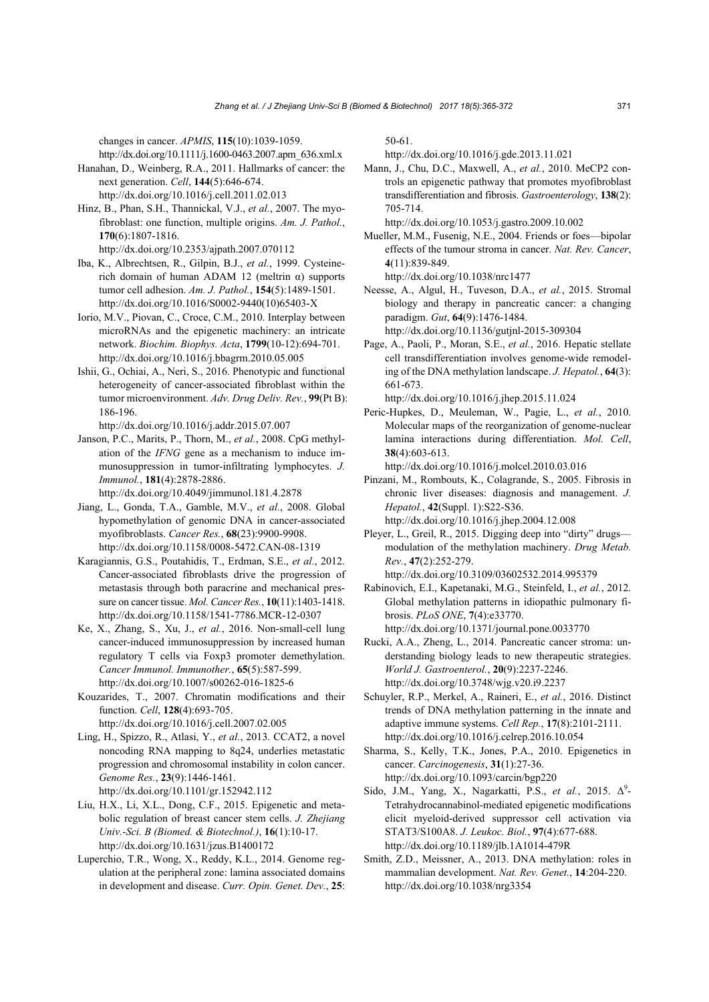changes in cancer. *APMIS*, **115**(10):1039-1059.

http://dx.doi.org/10.1111/j.1600-0463.2007.apm\_636.xml.x Hanahan, D., Weinberg, R.A., 2011. Hallmarks of cancer: the

- next generation. *Cell*, **144**(5):646-674. http://dx.doi.org/10.1016/j.cell.2011.02.013
- Hinz, B., Phan, S.H., Thannickal, V.J., *et al.*, 2007. The myofibroblast: one function, multiple origins. *Am. J. Pathol.*, **170**(6):1807-1816. http://dx.doi.org/10.2353/ajpath.2007.070112
- Iba, K., Albrechtsen, R., Gilpin, B.J., *et al.*, 1999. Cysteinerich domain of human ADAM 12 (meltrin α) supports tumor cell adhesion. *Am. J. Pathol.*, **154**(5):1489-1501. http://dx.doi.org/10.1016/S0002-9440(10)65403-X
- Iorio, M.V., Piovan, C., Croce, C.M., 2010. Interplay between microRNAs and the epigenetic machinery: an intricate network. *Biochim. Biophys. Acta*, **1799**(10-12):694-701. http://dx.doi.org/10.1016/j.bbagrm.2010.05.005
- Ishii, G., Ochiai, A., Neri, S., 2016. Phenotypic and functional heterogeneity of cancer-associated fibroblast within the tumor microenvironment. *Adv. Drug Deliv. Rev.*, **99**(Pt B): 186-196.
- http://dx.doi.org/10.1016/j.addr.2015.07.007 Janson, P.C., Marits, P., Thorn, M., *et al.*, 2008. CpG methyl-
- ation of the *IFNG* gene as a mechanism to induce immunosuppression in tumor-infiltrating lymphocytes. *J. Immunol.*, **181**(4):2878-2886. http://dx.doi.org/10.4049/jimmunol.181.4.2878
- Jiang, L., Gonda, T.A., Gamble, M.V., *et al.*, 2008. Global hypomethylation of genomic DNA in cancer-associated myofibroblasts. *Cancer Res.*, **68**(23):9900-9908. http://dx.doi.org/10.1158/0008-5472.CAN-08-1319
- Karagiannis, G.S., Poutahidis, T., Erdman, S.E., *et al.*, 2012. Cancer-associated fibroblasts drive the progression of metastasis through both paracrine and mechanical pressure on cancer tissue. *Mol. Cancer Res.*, **10**(11):1403-1418. http://dx.doi.org/10.1158/1541-7786.MCR-12-0307
- Ke, X., Zhang, S., Xu, J., *et al.*, 2016. Non-small-cell lung cancer-induced immunosuppression by increased human regulatory T cells via Foxp3 promoter demethylation. *Cancer Immunol. Immunother.*, **65**(5):587-599. http://dx.doi.org/10.1007/s00262-016-1825-6
- Kouzarides, T., 2007. Chromatin modifications and their function. *Cell*, **128**(4):693-705. http://dx.doi.org/10.1016/j.cell.2007.02.005
- Ling, H., Spizzo, R., Atlasi, Y., *et al.*, 2013. CCAT2, a novel noncoding RNA mapping to 8q24, underlies metastatic progression and chromosomal instability in colon cancer. *Genome Res.*, **23**(9):1446-1461. http://dx.doi.org/10.1101/gr.152942.112
- Liu, H.X., Li, X.L., Dong, C.F., 2015. Epigenetic and metabolic regulation of breast cancer stem cells. *J. Zhejiang Univ.-Sci. B (Biomed. & Biotechnol.)*, **16**(1):10-17. http://dx.doi.org/10.1631/jzus.B1400172
- Luperchio, T.R., Wong, X., Reddy, K.L., 2014. Genome regulation at the peripheral zone: lamina associated domains in development and disease. *Curr. Opin. Genet. Dev.*, **25**:

50-61.

http://dx.doi.org/10.1016/j.gde.2013.11.021

Mann, J., Chu, D.C., Maxwell, A., *et al.*, 2010. MeCP2 controls an epigenetic pathway that promotes myofibroblast transdifferentiation and fibrosis. *Gastroenterology*, **138**(2): 705-714.

http://dx.doi.org/10.1053/j.gastro.2009.10.002

Mueller, M.M., Fusenig, N.E., 2004. Friends or foes—bipolar effects of the tumour stroma in cancer. *Nat. Rev. Cancer*, **4**(11):839-849.

http://dx.doi.org/10.1038/nrc1477

Neesse, A., Algul, H., Tuveson, D.A., *et al.*, 2015. Stromal biology and therapy in pancreatic cancer: a changing paradigm. *Gut*, **64**(9):1476-1484.

http://dx.doi.org/10.1136/gutjnl-2015-309304

Page, A., Paoli, P., Moran, S.E., *et al.*, 2016. Hepatic stellate cell transdifferentiation involves genome-wide remodeling of the DNA methylation landscape. *J. Hepatol.*, **64**(3): 661-673.

http://dx.doi.org/10.1016/j.jhep.2015.11.024

Peric-Hupkes, D., Meuleman, W., Pagie, L., *et al.*, 2010. Molecular maps of the reorganization of genome-nuclear lamina interactions during differentiation. *Mol. Cell*, **38**(4):603-613.

http://dx.doi.org/10.1016/j.molcel.2010.03.016

- Pinzani, M., Rombouts, K., Colagrande, S., 2005. Fibrosis in chronic liver diseases: diagnosis and management. *J. Hepatol.*, **42**(Suppl. 1):S22-S36. http://dx.doi.org/10.1016/j.jhep.2004.12.008
- Pleyer, L., Greil, R., 2015. Digging deep into "dirty" drugs modulation of the methylation machinery. *Drug Metab. Rev.*, **47**(2):252-279.

http://dx.doi.org/10.3109/03602532.2014.995379 Rabinovich, E.I., Kapetanaki, M.G., Steinfeld, I., *et al.*, 2012. Global methylation patterns in idiopathic pulmonary fi-

brosis. *PLoS ONE*, **7**(4):e33770. http://dx.doi.org/10.1371/journal.pone.0033770

- Rucki, A.A., Zheng, L., 2014. Pancreatic cancer stroma: understanding biology leads to new therapeutic strategies. *World J. Gastroenterol.*, **20**(9):2237-2246. http://dx.doi.org/10.3748/wjg.v20.i9.2237
- Schuyler, R.P., Merkel, A., Raineri, E., *et al.*, 2016. Distinct trends of DNA methylation patterning in the innate and adaptive immune systems. *Cell Rep.*, **17**(8):2101-2111. http://dx.doi.org/10.1016/j.celrep.2016.10.054
- Sharma, S., Kelly, T.K., Jones, P.A., 2010. Epigenetics in cancer. *Carcinogenesis*, **31**(1):27-36. http://dx.doi.org/10.1093/carcin/bgp220
- Sido, J.M., Yang, X., Nagarkatti, P.S., *et al.*, 2015. Δ<sup>9</sup>-Tetrahydrocannabinol-mediated epigenetic modifications elicit myeloid-derived suppressor cell activation via STAT3/S100A8. *J. Leukoc. Biol.*, **97**(4):677-688. http://dx.doi.org/10.1189/jlb.1A1014-479R
- Smith, Z.D., Meissner, A., 2013. DNA methylation: roles in mammalian development. *Nat. Rev. Genet.*, **14**:204-220. http://dx.doi.org/10.1038/nrg3354